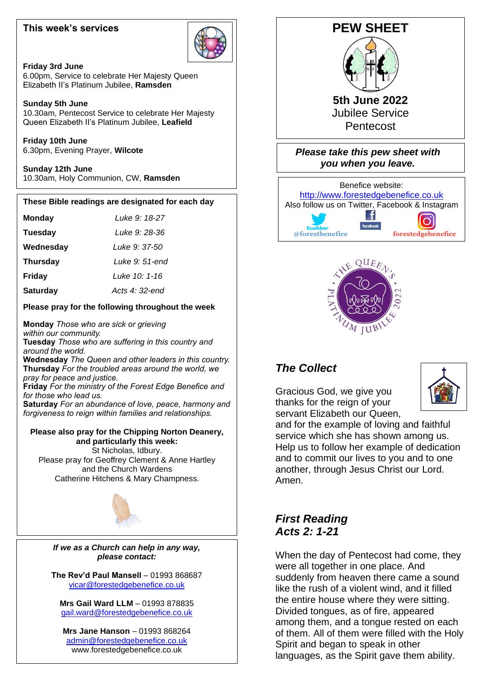#### **This week's services**



#### **Friday 3rd June**

6.00pm, Service to celebrate Her Majesty Queen Elizabeth II's Platinum Jubilee, **Ramsden**

#### **Sunday 5th June**

10.30am, Pentecost Service to celebrate Her Majesty Queen Elizabeth II's Platinum Jubilee, **Leafield**

**Friday 10th June** 6.30pm, Evening Prayer, **Wilcote**

**Sunday 12th June** 10.30am, Holy Communion, CW, **Ramsden**

## **These Bible readings are designated for each day**

| <b>Monday</b> | Luke 9: 18-27 |
|---------------|---------------|
|               |               |

**Tuesday** *Luke 9: 28-36*

**Wednesday** *Luke 9: 37-50*

 $\overline{1}$ **Thursday** *Luke 9: 51-end*

 **Friday** *Luke 10: 1-16*

**Saturday** *Acts 4: 32-end*

#### **Please pray for the following throughout the week**

 **Monday** *Those who are sick or grieving within our community.* **Tuesday** *Those who are suffering in this country and around the world.*

**Wednesday** *The Queen and other leaders in this country.* **Thursday** *For the troubled areas around the world, we pray for peace and justice.*

**Friday** *For the ministry of the Forest Edge Benefice and for those who lead us.*

**Saturday** *For an abundance of love, peace, harmony and forgiveness to reign within families and relationships.*

#### **Please also pray for the Chipping Norton Deanery, and particularly this week:**

St Nicholas, Idbury. Please pray for Geoffrey Clement & Anne Hartley and the Church Wardens

Catherine Hitchens & Mary Champness.



*If we as a Church can help in any way, please contact:*

**The Rev'd Paul Mansell** – 01993 868687 [vicar@forestedgebenefice.co.uk](mailto:vicar@forestedgebenefice.co.uk)

**Mrs Gail Ward LLM** – 01993 878835 [gail.ward@forestedgebenefice.co.uk](mailto:gail.ward@forestedgebenefice.co.uk)

**Mrs Jane Hanson** – 01993 868264 [admin@forestedgebenefice.co.uk](mailto:admin@forestedgebenefice.co.uk) www.forestedgebenefice.co.uk



**5th June 2022** Jubilee Service Pentecost

*Please take this pew sheet with you when you leave.*





## *The Collect*

Gracious God, we give you thanks for the reign of your servant Elizabeth our Queen.



and for the example of loving and faithful service which she has shown among us. Help us to follow her example of dedication and to commit our lives to you and to one another, through Jesus Christ our Lord. Amen.

## *First Reading Acts 2: 1-21*

When the day of Pentecost had come, they were all together in one place. And suddenly from heaven there came a sound like the rush of a violent wind, and it filled the entire house where they were sitting. Divided tongues, as of fire, appeared among them, and a tongue rested on each of them. All of them were filled with the Holy Spirit and began to speak in other languages, as the Spirit gave them ability.